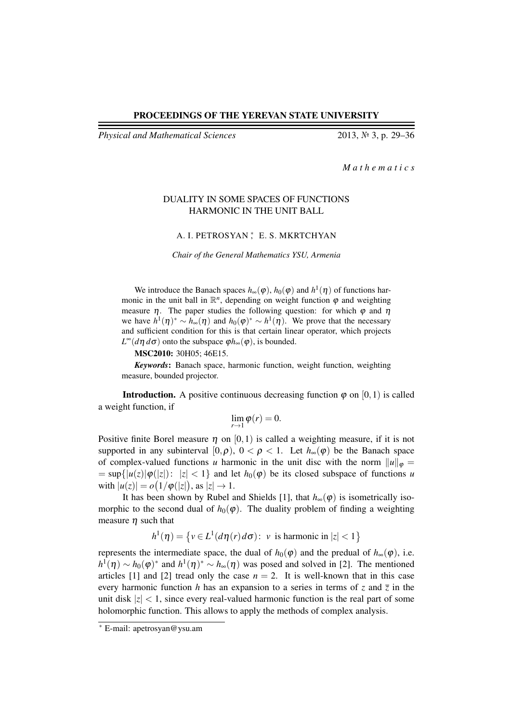*Physical and Mathematical Sciences* 2013, № 3, p. 29–36

*M a t h e m a t i c s*

## DUALITY IN SOME SPACES OF FUNCTIONS HARMONIC IN THE UNIT BALL

## A. I. PETROSYAN ; E. S. MKRTCHYAN

*Chair of the General Mathematics YSU, Armenia*

We introduce the Banach spaces  $h_{\infty}(\varphi)$ ,  $h_0(\varphi)$  and  $h^1(\eta)$  of functions harmonic in the unit ball in  $\mathbb{R}^n$ , depending on weight function  $\varphi$  and weighting measure  $\eta$ . The paper studies the following question: for which  $\varphi$  and  $\eta$ we have  $h^1(\eta)^* \sim h_{\infty}(\eta)$  and  $h_0(\varphi)^* \sim h^1(\eta)$ . We prove that the necessary and sufficient condition for this is that certain linear operator, which projects  $L^{\infty}(d\eta \, d\sigma)$  onto the subspace  $\varphi h_{\infty}(\varphi)$ , is bounded.

MSC2010: 30H05; 46E15.

*Keywords*: Banach space, harmonic function, weight function, weighting measure, bounded projector.

**Introduction.** A positive continuous decreasing function  $\varphi$  on [0, 1) is called a weight function, if

$$
\lim_{r\to 1}\varphi(r)=0.
$$

Positive finite Borel measure  $\eta$  on [0,1] is called a weighting measure, if it is not supported in any subinterval [0, $\rho$ ),  $0 < \rho < 1$ . Let  $h_{\infty}(\varphi)$  be the Banach space of complex-valued functions *u* harmonic in the unit disc with the norm  $||u||_{\varphi} =$  $= \sup\{|u(z)|\phi(|z|): |z| < 1\}$  and let  $h_0(\phi)$  be its closed subspace of functions *u* with  $|u(z)| = o(1/\varphi(|z|))$ , as  $|z| \to 1$ .

It has been shown by Rubel and Shields [1], that  $h_{\infty}(\varphi)$  is isometrically isomorphic to the second dual of  $h_0(\varphi)$ . The duality problem of finding a weighting measure  $\eta$  such that

$$
h^{1}(\eta) = \{ v \in L^{1}(d\eta(r) d\sigma) : v \text{ is harmonic in } |z| < 1 \}
$$

represents the intermediate space, the dual of  $h_0(\varphi)$  and the predual of  $h_{\infty}(\varphi)$ , i.e.  $h^1(\eta) \sim h_0(\varphi)^*$  and  $h^1(\eta)^* \sim h_{\infty}(\eta)$  was posed and solved in [2]. The mentioned articles [1] and [2] tread only the case  $n = 2$ . It is well-known that in this case every harmonic function *h* has an expansion to a series in terms of *z* and  $\overline{z}$  in the unit disk  $|z| < 1$ , since every real-valued harmonic function is the real part of some holomorphic function. This allows to apply the methods of complex analysis.

<sup>∗</sup> E-mail: apetrosyan@ysu.am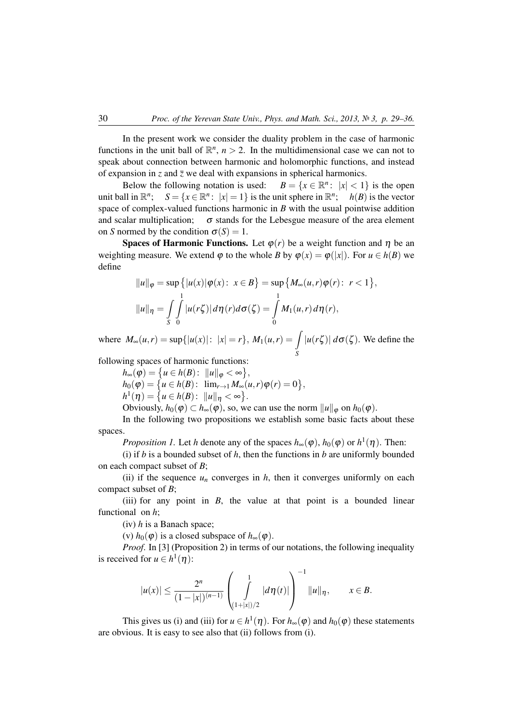In the present work we consider the duality problem in the case of harmonic functions in the unit ball of  $\mathbb{R}^n$ ,  $n > 2$ . In the multidimensional case we can not to speak about connection between harmonic and holomorphic functions, and instead of expansion in *z* and  $\overline{z}$  we deal with expansions in spherical harmonics.

Below the following notation is used:  $x^2$ :  $|x| < 1$ } is the open unit ball in R *n*  $S = \{x \in \mathbb{R}^n : |x| = 1\}$  is the unit sphere in  $\mathbb{R}^n$ ;  $h(B)$  is the vector space of complex-valued functions harmonic in *B* with the usual pointwise addition and scalar multiplication;  $\sigma$  stands for the Lebesgue measure of the area element on *S* normed by the condition  $\sigma(S) = 1$ .

**Spaces of Harmonic Functions.** Let  $\varphi(r)$  be a weight function and  $\eta$  be an weighting measure. We extend  $\varphi$  to the whole *B* by  $\varphi(x) = \varphi(|x|)$ . For  $u \in h(B)$  we define

$$
||u||_{\varphi} = \sup \{ |u(x)|\varphi(x): x \in B \} = \sup \{ M_{\infty}(u,r)\varphi(r): r < 1 \},
$$
  

$$
||u||_{\eta} = \int_{S} \int_{0}^{1} |u(r\zeta)| d\eta(r) d\sigma(\zeta) = \int_{0}^{1} M_{1}(u,r) d\eta(r),
$$

where  $M_{\infty}(u,r) = \sup\{|u(x)|: |x| = r\}$ ,  $M_1(u,r) = \int$ *S*  $|u(r\zeta)| d\sigma(\zeta)$ . We define the

following spaces of harmonic functions:

 $h_{\infty}(\varphi) = \left\{ u \in h(B) \colon ||u||_{\varphi} < \infty \right\},\$  $h_0(\varphi) = \{u \in h(B): \ \lim_{r \to 1} M_\infty(u,r) \varphi(r) = 0\},\$ 

 $h^1(\eta) = \{ u \in h(B) : ||u||_{\eta} < \infty \}.$ 

Obviously,  $h_0(\varphi) \subset h_\infty(\varphi)$ , so, we can use the norm  $||u||_{\varphi}$  on  $h_0(\varphi)$ .

In the following two propositions we establish some basic facts about these spaces.

*Proposition 1.* Let *h* denote any of the spaces  $h_{\infty}(\varphi)$ ,  $h_0(\varphi)$  or  $h^1(\eta)$ . Then:

(i) if *b* is a bounded subset of *h*, then the functions in *b* are uniformly bounded on each compact subset of *B*;

(ii) if the sequence  $u_n$  converges in  $h$ , then it converges uniformly on each compact subset of *B*;

(iii) for any point in  $B$ , the value at that point is a bounded linear functional on *h*;

(iv) *h* is a Banach space;

(v)  $h_0(\varphi)$  is a closed subspace of  $h_{\infty}(\varphi)$ .

*Proof.* In [3] (Proposition 2) in terms of our notations, the following inequality is received for  $u \in h^1(\eta)$ :

$$
|u(x)| \leq \frac{2^n}{(1-|x|)^{(n-1)}} \left(\int_{(1+|x|)/2}^1 |d\eta(t)|\right)^{-1} ||u||_{\eta}, \qquad x \in B.
$$

This gives us (i) and (iii) for  $u \in h^1(\eta)$ . For  $h_{\infty}(\varphi)$  and  $h_0(\varphi)$  these statements are obvious. It is easy to see also that (ii) follows from (i).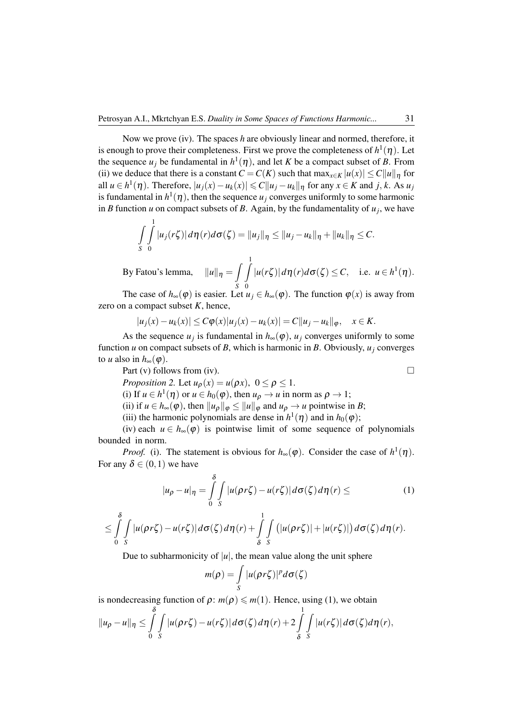Now we prove (iv). The spaces *h* are obviously linear and normed, therefore, it is enough to prove their completeness. First we prove the completeness of  $h^1(\eta).$  Let the sequence  $u_j$  be fundamental in  $h^1(\eta)$ , and let *K* be a compact subset of *B*. From (ii) we deduce that there is a constant  $C = C(K)$  such that  $\max_{x \in K} |u(x)| \le C ||u||_p$  for  $|u_i \in h^1(\eta)$ . Therefore,  $|u_j(x) - u_k(x)| \leq C ||u_j - u_k||_{\eta}$  for any *x* ∈ *K* and *j*, *k*. As *u*<sub>*j*</sub> is fundamental in  $h^1(\eta)$ , then the sequence  $u_j$  converges uniformly to some harmonic in *B* function *u* on compact subsets of *B*. Again, by the fundamentality of  $u_j$ , we have

$$
\int_{S} \int_{0}^{1} |u_j(r\zeta)| d\eta(r) d\sigma(\zeta) = \|u_j\|_{\eta} \le \|u_j - u_k\|_{\eta} + \|u_k\|_{\eta} \le C.
$$
  
By Fatou's lemma, 
$$
\|u\|_{\eta} = \int_{0}^{1} |u(r\zeta)| d\eta(r) d\sigma(\zeta) \le C, \quad \text{i.e. } u \in h^1(\eta).
$$

*S* 0 The case of  $h_{\infty}(\varphi)$  is easier. Let  $u_j \in h_{\infty}(\varphi)$ . The function  $\varphi(x)$  is away from zero on a compact subset  $K$ , hence,

$$
|u_j(x) - u_k(x)| \le C\varphi(x)|u_j(x) - u_k(x)| = C||u_j - u_k||_{\varphi}, \quad x \in K.
$$

As the sequence  $u_j$  is fundamental in  $h_{\infty}(\varphi)$ ,  $u_j$  converges uniformly to some function *u* on compact subsets of *B*, which is harmonic in *B*. Obviously, *u<sup>j</sup>* converges to *u* also in  $h_{\infty}(\varphi)$ .

Part (v) follows from (iv).  $\Box$ *Proposition 2.* Let  $u_{\rho}(x) = u(\rho x)$ ,  $0 \le \rho \le 1$ .

(i) If  $u \in h^1(\eta)$  or  $u \in h_0(\varphi)$ , then  $u_\rho \to u$  in norm as  $\rho \to 1$ ;

(ii) if  $u \in h_{\infty}(\varphi)$ , then  $||u_{\rho}||_{\varphi} \le ||u||_{\varphi}$  and  $u_{\rho} \to u$  pointwise in *B*;

(iii) the harmonic polynomials are dense in  $h^1(\eta)$  and in  $h_0(\varphi)$ ;

(iv) each  $u \in h_{\infty}(\varphi)$  is pointwise limit of some sequence of polynomials bounded in norm.

*Proof.* (i). The statement is obvious for  $h_{\infty}(\varphi)$ . Consider the case of  $h^1(\eta)$ . For any  $\delta \in (0,1)$  we have

$$
|u_{\rho} - u|_{\eta} = \int_{0}^{\delta} \int_{S} |u(\rho r \zeta) - u(r \zeta)| d\sigma(\zeta) d\eta(r) \leq
$$
 (1)

$$
\leq \int_{0}^{\delta} \int_{S} |u(\rho r \zeta) - u(r \zeta)| d\sigma(\zeta) d\eta(r) + \int_{\delta}^{1} \int_{S} (|u(\rho r \zeta)| + |u(r \zeta)|) d\sigma(\zeta) d\eta(r).
$$

Due to subharmonicity of  $|u|$ , the mean value along the unit sphere

$$
m(\rho) = \int\limits_{S} |u(\rho r\zeta)|^p d\sigma(\zeta)
$$

is nondecreasing function of  $\rho$ :  $m(\rho) \le m(1)$ . Hence, using (1), we obtain

$$
||u_{\rho}-u||_{\eta}\leq \int_{0}^{\delta}\int_{S}|u(\rho r\zeta)-u(r\zeta)|d\sigma(\zeta)d\eta(r)+2\int_{\delta}^{1}\int_{S}|u(r\zeta)|d\sigma(\zeta)d\eta(r),
$$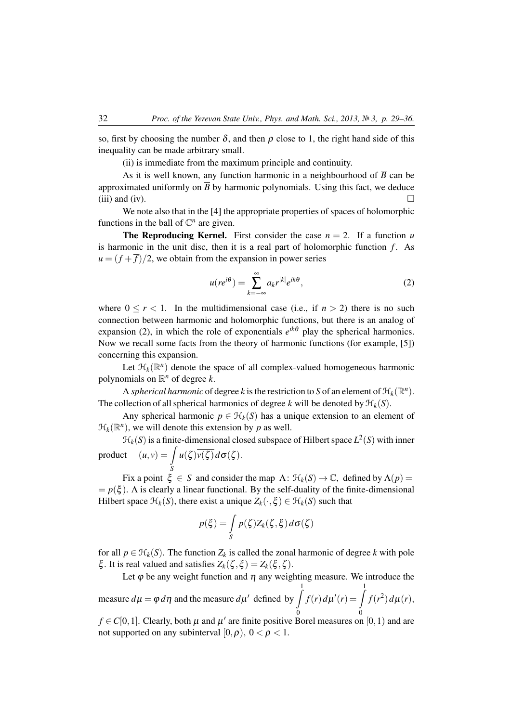so, first by choosing the number  $\delta$ , and then  $\rho$  close to 1, the right hand side of this inequality can be made arbitrary small.

(ii) is immediate from the maximum principle and continuity.

As it is well known, any function harmonic in a neighbourhood of  $\overline{B}$  can be approximated uniformly on  $\overline{B}$  by harmonic polynomials. Using this fact, we deduce (iii) and (iv).  $\Box$ 

We note also that in the [4] the appropriate properties of spaces of holomorphic functions in the ball of  $\mathbb{C}^n$  are given.

**The Reproducing Kernel.** First consider the case  $n = 2$ . If a function *u* is harmonic in the unit disc, then it is a real part of holomorphic function *f* . As  $u = (f + \overline{f})/2$ , we obtain from the expansion in power series

$$
u(re^{i\theta}) = \sum_{k=-\infty}^{\infty} a_k r^{|k|} e^{ik\theta},\tag{2}
$$

where  $0 \le r < 1$ . In the multidimensional case (i.e., if  $n > 2$ ) there is no such connection between harmonic and holomorphic functions, but there is an analog of expansion (2), in which the role of exponentials  $e^{ik\theta}$  play the spherical harmonics. Now we recall some facts from the theory of harmonic functions (for example, [5]) concerning this expansion.

Let  $\mathcal{H}_k(\mathbb{R}^n)$  denote the space of all complex-valued homogeneous harmonic polynomials on  $\mathbb{R}^n$  of degree *k*.

A *spherical harmonic* of degree *k* is the restriction to *S* of an element of  $\mathcal{H}_k(\mathbb{R}^n)$ . The collection of all spherical harmonics of degree *k* will be denoted by  $\mathcal{H}_k(S)$ .

Any spherical harmonic  $p \in H_k(S)$  has a unique extension to an element of  $\mathcal{H}_k(\mathbb{R}^n)$ , we will denote this extension by *p* as well.

 $\mathcal{H}_k(S)$  is a finite-dimensional closed subspace of Hilbert space  $L^2(S)$  with inner product  $(u, v) = \int u(\zeta) \overline{v(\zeta)} d\sigma(\zeta)$ .

Fix a point  $\xi \in S$  and consider the map  $\Lambda: \mathcal{H}_k(S) \to \mathbb{C}$ , defined by  $\Lambda(p) =$  $= p(\xi)$ . A is clearly a linear functional. By the self-duality of the finite-dimensional Hilbert space  $\mathcal{H}_k(S)$ , there exist a unique  $Z_k(\cdot,\xi) \in \mathcal{H}_k(S)$  such that

$$
p(\xi) = \int\limits_{S} p(\zeta) Z_k(\zeta, \xi) d\sigma(\zeta)
$$

for all  $p \in \mathcal{H}_k(S)$ . The function  $Z_k$  is called the zonal harmonic of degree *k* with pole ξ. It is real valued and satisfies  $Z_k(\zeta,\xi) = Z_k(\xi,\zeta)$ .

Let  $\varphi$  be any weight function and  $\eta$  any weighting measure. We introduce the measure  $d\mu = \varphi \, d\eta$  and the measure  $d\mu'$  defined by  $\int_0^1$  $\mathbf{0}$  $f(r) d\mu'(r) = \int_0^1$  $\mathbf{0}$  $f(r^2) d\mu(r)$ ,

 $f \in C[0,1]$ . Clearly, both  $\mu$  and  $\mu'$  are finite positive Borel measures on  $[0,1)$  and are not supported on any subinterval  $[0, \rho)$ ,  $0 < \rho < 1$ .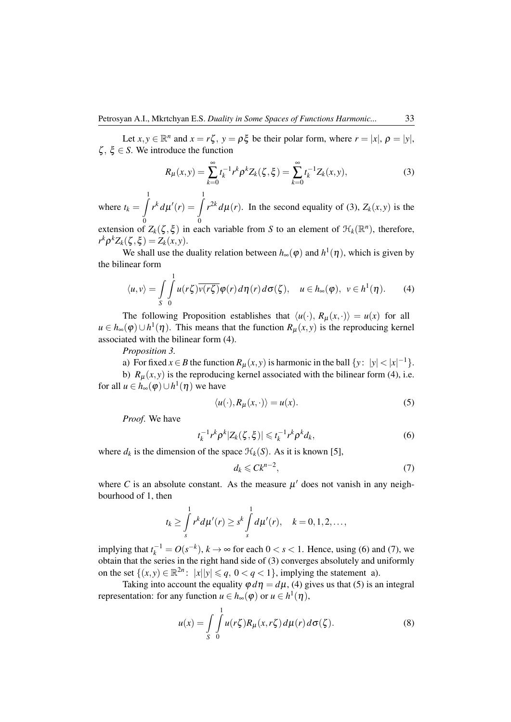Let  $x, y \in \mathbb{R}^n$  and  $x = r\zeta$ ,  $y = \rho \xi$  be their polar form, where  $r = |x|$ ,  $\rho = |y|$ ,  $\zeta$ ,  $\xi \in S$ . We introduce the function

$$
R_{\mu}(x,y) = \sum_{k=0}^{\infty} t_k^{-1} r^k \rho^k Z_k(\zeta,\xi) = \sum_{k=0}^{\infty} t_k^{-1} Z_k(x,y),
$$
 (3)

where  $t_k = \int_0^1$  $\boldsymbol{0}$  $r^k d\mu'(r) = \int_0^1$  $\boldsymbol{0}$  $r^{2k} d\mu(r)$ . In the second equality of (3),  $Z_k(x, y)$  is the

extension of  $Z_k(\zeta,\xi)$  in each variable from *S* to an element of  $\mathcal{H}_k(\mathbb{R}^n)$ , therefore,  $r^k \rho^k Z_k(\zeta, \xi) = Z_k(x, y).$ 

We shall use the duality relation between  $h_{\infty}(\varphi)$  and  $h^1(\eta)$ , which is given by the bilinear form

$$
\langle u, v \rangle = \int\limits_{S} \int\limits_{0}^{1} u(r\zeta) \overline{v(r\zeta)} \varphi(r) d\eta(r) d\sigma(\zeta), \quad u \in h_{\infty}(\varphi), \ v \in h^{1}(\eta). \tag{4}
$$

The following Proposition establishes that  $\langle u(\cdot), R_u(x, \cdot) \rangle = u(x)$  for all *u* ∈ *h*<sub>∞</sub>( $\varphi$ )∪*h*<sup>1</sup>( $\eta$ ). This means that the function *R*<sub>µ</sub>(*x*, *y*) is the reproducing kernel associated with the bilinear form (4).

*Proposition 3.*

a) For fixed *x* ∈ *B* the function  $R_{\mu}(x, y)$  is harmonic in the ball  $\{y: |y| < |x|^{-1}\}.$ b)  $R_u(x, y)$  is the reproducing kernel associated with the bilinear form (4), i.e. for all  $u \in h_{\infty}(\varphi) \cup h^{1}(\eta)$  we have

$$
\langle u(\cdot), R_{\mu}(x, \cdot) \rangle = u(x). \tag{5}
$$

*Proof*. We have

$$
t_k^{-1}r^k\rho^k|Z_k(\zeta,\xi)|\leq t_k^{-1}r^k\rho^k d_k,
$$
\n(6)

where  $d_k$  is the dimension of the space  $\mathcal{H}_k(S)$ . As it is known [5],

$$
d_k \leqslant C k^{n-2},\tag{7}
$$

where C is an absolute constant. As the measure  $\mu'$  does not vanish in any neighbourhood of 1, then

$$
t_k \geq \int_s^1 r^k d\mu'(r) \geq s^k \int_s^1 d\mu'(r), \quad k = 0, 1, 2, \ldots,
$$

implying that  $t_k^{-1} = O(s^{-k})$ ,  $k \to \infty$  for each  $0 < s < 1$ . Hence, using (6) and (7), we obtain that the series in the right hand side of (3) converges absolutely and uniformly on the set  $\{(x, y) \in \mathbb{R}^{2n} : ||x||y| \le q, 0 < q < 1\}$ , implying the statement a).

Taking into account the equality  $\varphi d\eta = d\mu$ , (4) gives us that (5) is an integral representation: for any function  $u \in h_{\infty}(\varphi)$  or  $u \in h^1(\eta)$ ,

$$
u(x) = \int\limits_{S} \int\limits_{0}^{1} u(r\zeta) R_{\mu}(x, r\zeta) d\mu(r) d\sigma(\zeta).
$$
 (8)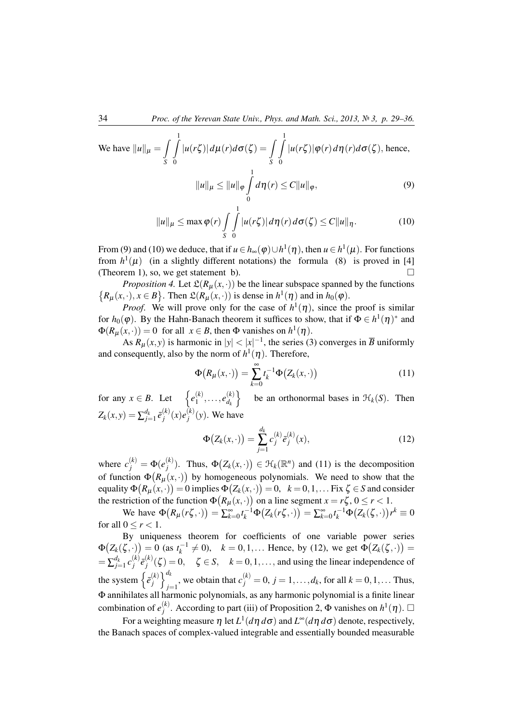We have 
$$
||u||_{\mu} = \int_{S} \int_{0}^{1} |u(r\zeta)| d\mu(r) d\sigma(\zeta) = \int_{S} \int_{0}^{1} |u(r\zeta)| \varphi(r) d\eta(r) d\sigma(\zeta)
$$
, hence,  

$$
||u||_{\mu} \le ||u||_{\varphi} \int_{0}^{1} d\eta(r) \le C ||u||_{\varphi},
$$
(9)

$$
||u||_{\mu} \leq \max \varphi(r) \int\limits_{S} \int\limits_{0}^{1} |u(r\zeta)| d\eta(r) d\sigma(\zeta) \leq C ||u||_{\eta}.
$$
 (10)

From (9) and (10) we deduce, that if  $u \in h_{\infty}(\varphi) \cup h^{1}(\eta)$ , then  $u \in h^{1}(\mu)$ . For functions from  $h^1(\mu)$  (in a slightly different notations) the formula (8) is proved in [4] (Theorem 1), so, we get statement b).  $\Box$ 

*Proposition 4.* Let  $\mathfrak{L}(R_{\mu}(x, \cdot))$  be the linear subspace spanned by the functions  $\{R_\mu(x, \cdot), x \in B\}$ . Then  $\mathfrak{L}(R_\mu(x, \cdot))$  is dense in  $h^1(\eta)$  and in  $h_0(\varphi)$ .

*Proof.* We will prove only for the case of  $h^1(\eta)$ , since the proof is similar for  $h_0(\varphi)$ . By the Hahn-Banach theorem it suffices to show, that if  $\Phi \in h^1(\eta)^*$  and  $\Phi(R_\mu(x, \cdot)) = 0$  for all  $x \in B$ , then  $\Phi$  vanishes on  $h^1(\eta)$ .

As  $R_{\mu}(x, y)$  is harmonic in  $|y| < |x|^{-1}$ , the series (3) converges in  $\overline{B}$  uniformly and consequently, also by the norm of  $h^1(\eta)$ . Therefore,

$$
\Phi\big(R_\mu(x,\cdot)\big) = \sum_{k=0}^\infty t_k^{-1} \Phi\big(Z_k(x,\cdot)\big) \tag{11}
$$

for any  $x \in B$ . Let  $\{e_1^{(k)}\}$  $e_{d_k}^{(k)}, \ldots, e_{d_k}^{(k)}$ *dk* be an orthonormal bases in  $\mathcal{H}_k(S)$ . Then  $Z_k(x, y) = \sum_{j=1}^{d_k} \bar{e}_j^{(k)}$  $j^{(k)}(x)e_j^{(k)}$  $j^{(k)}(y)$ . We have

$$
\Phi(Z_k(x,\cdot)) = \sum_{j=1}^{d_k} c_j^{(k)} \bar{e}_j^{(k)}(x),\tag{12}
$$

where  $c_j^{(k)} = \Phi(e_j^{(k)})$  $\mathcal{F}_j^{(k)}$ ). Thus,  $\Phi(Z_k(x, \cdot)) \in \mathcal{H}_k(\mathbb{R}^n)$  and (11) is the decomposition of function  $\Phi(R_\mu(x, \cdot))$  by homogeneous polynomials. We need to show that the equality  $\Phi(R_\mu(x, \cdot)) = 0$  implies  $\Phi(Z_k(x, \cdot)) = 0, \; \; k = 0, 1, \ldots$  Fix  $\zeta \in S$  and consider the restriction of the function  $\Phi(R_\mu(x, \cdot))$  on a line segment  $x = r\zeta$ ,  $0 \le r < 1$ .

 $\text{We have } \Phi(R_{\mu}(r\zeta,\cdot)) = \sum_{k=0}^{\infty} t_k^{-1} \Phi(Z_k(r\zeta,\cdot)) = \sum_{k=0}^{\infty} t_k^{-1} \Phi(Z_k(\zeta,\cdot)) r^k \equiv 0$ for all  $0 \leq r < 1$ .

By uniqueness theorem for coefficients of one variable power series  $\Phi(Z_k(\zeta, \cdot)) = 0$  (as  $t_k^{-1} \neq 0$ ),  $k = 0, 1, ...$  Hence, by (12), we get  $\Phi(Z_k(\zeta, \cdot)) =$  $=\sum_{j=1}^{d_k} c_j^{(k)}$  $\bar{e}^{(k)}_j \bar{e}^{(k)}_j$  $\zeta_j^{(k)}(\zeta) = 0$ ,  $\zeta \in S$ ,  $k = 0, 1, \ldots$ , and using the linear independence of the system  $\left\{ \bar{e}_{i}^{(k)} \right\}$  $\binom{k}{j}$   $\binom{d_k}{i}$ *j*=1, we obtain that  $c_j^{(k)} = 0$ ,  $j = 1, ..., d_k$ , for all  $k = 0, 1, ...$  Thus, Φ annihilates all harmonic polynomials, as any harmonic polynomial is a finite linear combination of  $e_i^{(k)}$  $j$ <sup>(k)</sup>. According to part (iii) of Proposition 2, Φ vanishes on  $h$ <sup>1</sup>(η). □

For a weighting measure η let *L* 1 (*d*η *d*σ) and *L* <sup>∞</sup>(*d*η *d*σ) denote, respectively, the Banach spaces of complex-valued integrable and essentially bounded measurable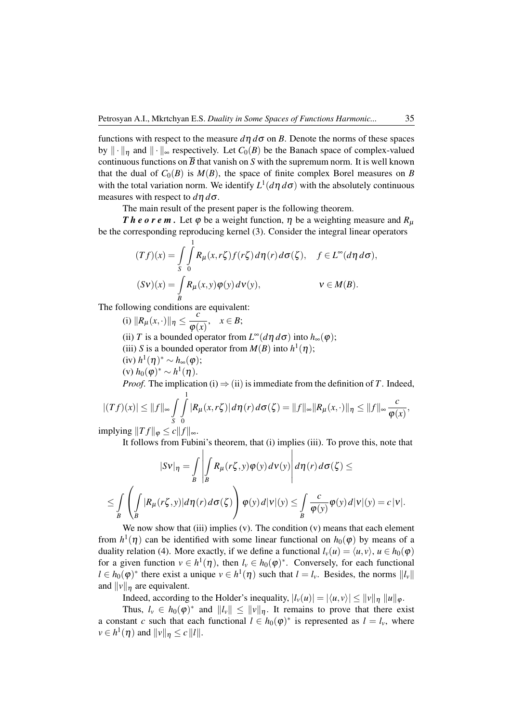functions with respect to the measure  $d\eta d\sigma$  on *B*. Denote the norms of these spaces by  $\|\cdot\|_n$  and  $\|\cdot\|_{\infty}$  respectively. Let  $C_0(B)$  be the Banach space of complex-valued continuous functions on  $\overline{B}$  that vanish on *S* with the supremum norm. It is well known that the dual of  $C_0(B)$  is  $M(B)$ , the space of finite complex Borel measures on *B* with the total variation norm. We identify  $L^1(d\eta \, d\sigma)$  with the absolutely continuous measures with respect to *d*η *d*σ.

The main result of the present paper is the following theorem.

*The orem.* Let  $\varphi$  be a weight function,  $\eta$  be a weighting measure and  $R_{\mu}$ be the corresponding reproducing kernel (3). Consider the integral linear operators

$$
(Tf)(x) = \int_{S} \int_{0}^{1} R_{\mu}(x, r\zeta) f(r\zeta) d\eta(r) d\sigma(\zeta), \quad f \in L^{\infty}(d\eta d\sigma),
$$
  

$$
(Sv)(x) = \int_{B} R_{\mu}(x, y) \varphi(y) d\nu(y), \qquad v \in M(B).
$$

The following conditions are equivalent:

(i)  $\|R_{\mu}(x,\cdot)\|_{\eta} \leq \frac{c}{\omega}$  $\frac{\epsilon}{\varphi(x)}, \quad x \in B;$ (ii) *T* is a bounded operator from  $L^{\infty}(d\eta \, d\sigma)$  into  $h_{\infty}(\varphi)$ ; (iii) *S* is a bounded operator from  $M(B)$  into  $h^1(\eta)$ ; (iv)  $h^1(\eta)^* \sim h_\infty(\varphi)$ ; (v)  $h_0(φ)^*$  ∼  $h^1(η)$ .

*Proof.* The implication (i)  $\Rightarrow$  (ii) is immediate from the definition of *T*. Indeed,

$$
|(Tf)(x)| \leq ||f||_{\infty} \int_{S} \int_{0}^{1} |R_{\mu}(x,r\zeta)| d\eta(r) d\sigma(\zeta) = ||f||_{\infty} ||R_{\mu}(x,\cdot)||_{\eta} \leq ||f||_{\infty} \frac{c}{\varphi(x)},
$$

implying  $||Tf||_{\varphi} \leq c||f||_{\infty}$ .

It follows from Fubini's theorem, that (i) implies (iii). To prove this, note that

$$
|Sv|_{\eta} = \int_{B} \left| \int_{B} R_{\mu}(r\zeta, y) \varphi(y) d\nu(y) \right| d\eta(r) d\sigma(\zeta) \le
$$
  

$$
\le \int_{B} \left( \int_{B} |R_{\mu}(r\zeta, y)| d\eta(r) d\sigma(\zeta) \right) \varphi(y) d|\nu|(y) \le \int_{B} \frac{c}{\varphi(y)} \varphi(y) d|\nu|(y) = c |\nu|.
$$

We now show that (iii) implies (v). The condition  $(v)$  means that each element from  $h^1(\eta)$  can be identified with some linear functional on  $h_0(\varphi)$  by means of a duality relation (4). More exactly, if we define a functional  $l_v(u) = \langle u, v \rangle$ ,  $u \in h_0(\varphi)$ for a given function  $v \in h^1(\eta)$ , then  $l_v \in h_0(\varphi)^*$ . Conversely, for each functional  $l \in h_0(\varphi)^*$  there exist a unique  $v \in h^1(\eta)$  such that  $l = l_v$ . Besides, the norms  $||l_v||$ and  $||v||_n$  are equivalent.

Indeed, according to the Holder's inequality,  $|l_v(u)| = |\langle u, v \rangle| \le ||v||_p ||u||_{\varphi}$ .

Thus,  $l_v \in h_0(\varphi)^*$  and  $||l_v|| \le ||v||_{\eta}$ . It remains to prove that there exist a constant *c* such that each functional  $l \in h_0(\varphi)^*$  is represented as  $l = l_v$ , where  $\nu \in h^1(\eta)$  and  $\|\nu\|_{\eta} \le c \, \|l\|.$